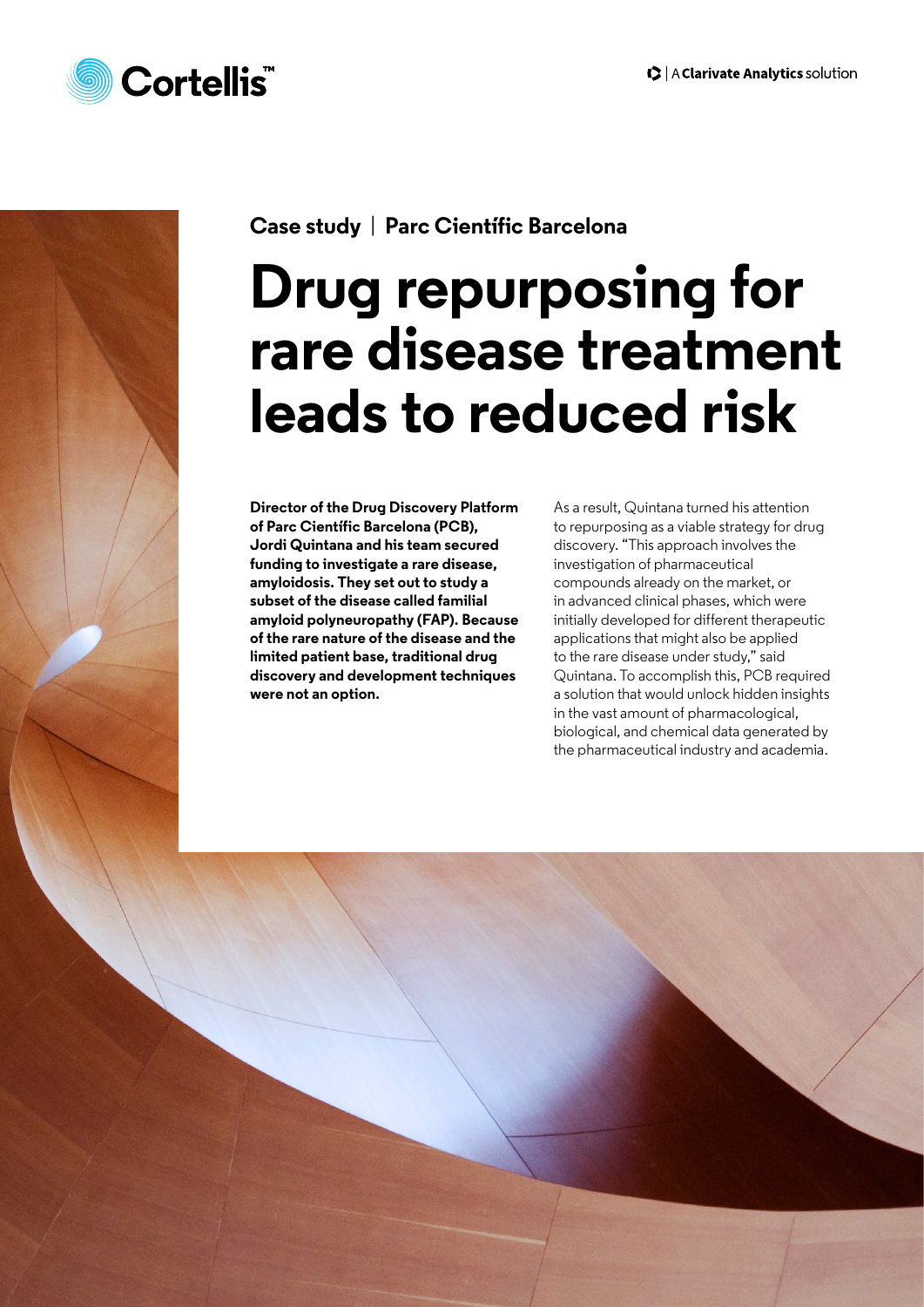



**Case study** | **Parc Científic Barcelona**

# **Drug repurposing for rare disease treatment leads to reduced risk**

**Director of the Drug Discovery Platform of Parc Científic Barcelona (PCB), Jordi Quintana and his team secured funding to investigate a rare disease, amyloidosis. They set out to study a subset of the disease called familial amyloid polyneuropathy (FAP). Because of the rare nature of the disease and the limited patient base, traditional drug discovery and development techniques were not an option.** 

As a result, Quintana turned his attention to repurposing as a viable strategy for drug discovery. "This approach involves the investigation of pharmaceutical compounds already on the market, or in advanced clinical phases, which were initially developed for different therapeutic applications that might also be applied to the rare disease under study," said Quintana. To accomplish this, PCB required a solution that would unlock hidden insights in the vast amount of pharmacological, biological, and chemical data generated by the pharmaceutical industry and academia.